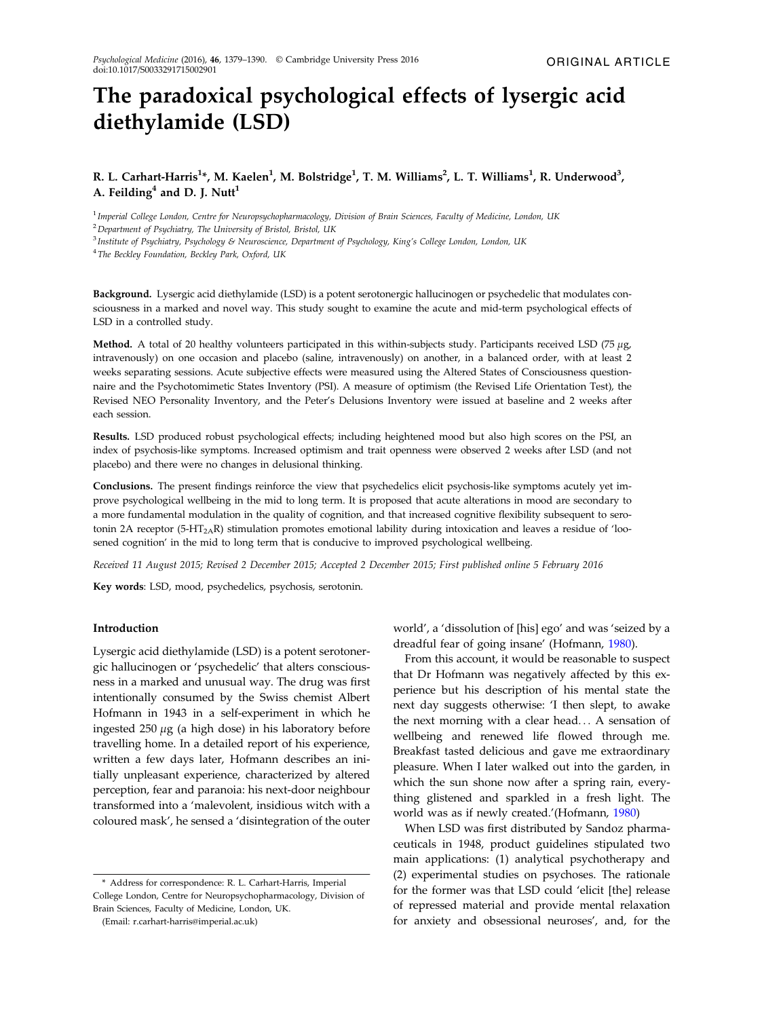# The paradoxical psychological effects of lysergic acid diethylamide (LSD)

# R. L. Carhart-Harris $^{1*}$ , M. Kaelen $^{1}$ , M. Bolstridge $^{1}$ , T. M. Williams $^{2}$ , L. T. Williams $^{1}$ , R. Underwood $^{3}$ , A. Feilding<sup>4</sup> and D. J. Nutt<sup>1</sup>

<sup>1</sup> Imperial College London, Centre for Neuropsychopharmacology, Division of Brain Sciences, Faculty of Medicine, London, UK

<sup>2</sup>Department of Psychiatry, The University of Bristol, Bristol, UK

<sup>3</sup> Institute of Psychiatry, Psychology & Neuroscience, Department of Psychology, King's College London, London, UK

<sup>4</sup> The Beckley Foundation, Beckley Park, Oxford, UK

Background. Lysergic acid diethylamide (LSD) is a potent serotonergic hallucinogen or psychedelic that modulates consciousness in a marked and novel way. This study sought to examine the acute and mid-term psychological effects of LSD in a controlled study.

Method. A total of 20 healthy volunteers participated in this within-subjects study. Participants received LSD (75 µg, intravenously) on one occasion and placebo (saline, intravenously) on another, in a balanced order, with at least 2 weeks separating sessions. Acute subjective effects were measured using the Altered States of Consciousness questionnaire and the Psychotomimetic States Inventory (PSI). A measure of optimism (the Revised Life Orientation Test), the Revised NEO Personality Inventory, and the Peter's Delusions Inventory were issued at baseline and 2 weeks after each session.

Results. LSD produced robust psychological effects; including heightened mood but also high scores on the PSI, an index of psychosis-like symptoms. Increased optimism and trait openness were observed 2 weeks after LSD (and not placebo) and there were no changes in delusional thinking.

Conclusions. The present findings reinforce the view that psychedelics elicit psychosis-like symptoms acutely yet improve psychological wellbeing in the mid to long term. It is proposed that acute alterations in mood are secondary to a more fundamental modulation in the quality of cognition, and that increased cognitive flexibility subsequent to serotonin 2A receptor (5-HT<sub>2A</sub>R) stimulation promotes emotional lability during intoxication and leaves a residue of 'loosened cognition' in the mid to long term that is conducive to improved psychological wellbeing.

Received 11 August 2015; Revised 2 December 2015; Accepted 2 December 2015; First published online 5 February 2016

Key words: LSD, mood, psychedelics, psychosis, serotonin.

# Introduction

Lysergic acid diethylamide (LSD) is a potent serotonergic hallucinogen or 'psychedelic' that alters consciousness in a marked and unusual way. The drug was first intentionally consumed by the Swiss chemist Albert Hofmann in 1943 in a self-experiment in which he ingested  $250 \mu$ g (a high dose) in his laboratory before travelling home. In a detailed report of his experience, written a few days later, Hofmann describes an initially unpleasant experience, characterized by altered perception, fear and paranoia: his next-door neighbour transformed into a 'malevolent, insidious witch with a coloured mask', he sensed a 'disintegration of the outer

(Email: r.carhart-harris@imperial.ac.uk)

world', a 'dissolution of [his] ego' and was 'seized by a dreadful fear of going insane' (Hofmann, [1980](#page-9-0)).

From this account, it would be reasonable to suspect that Dr Hofmann was negatively affected by this experience but his description of his mental state the next day suggests otherwise: 'I then slept, to awake the next morning with a clear head... A sensation of wellbeing and renewed life flowed through me. Breakfast tasted delicious and gave me extraordinary pleasure. When I later walked out into the garden, in which the sun shone now after a spring rain, everything glistened and sparkled in a fresh light. The world was as if newly created.'(Hofmann, [1980](#page-9-0))

When LSD was first distributed by Sandoz pharmaceuticals in 1948, product guidelines stipulated two main applications: (1) analytical psychotherapy and (2) experimental studies on psychoses. The rationale for the former was that LSD could 'elicit [the] release of repressed material and provide mental relaxation for anxiety and obsessional neuroses', and, for the

<sup>\*</sup> Address for correspondence: R. L. Carhart-Harris, Imperial College London, Centre for Neuropsychopharmacology, Division of Brain Sciences, Faculty of Medicine, London, UK.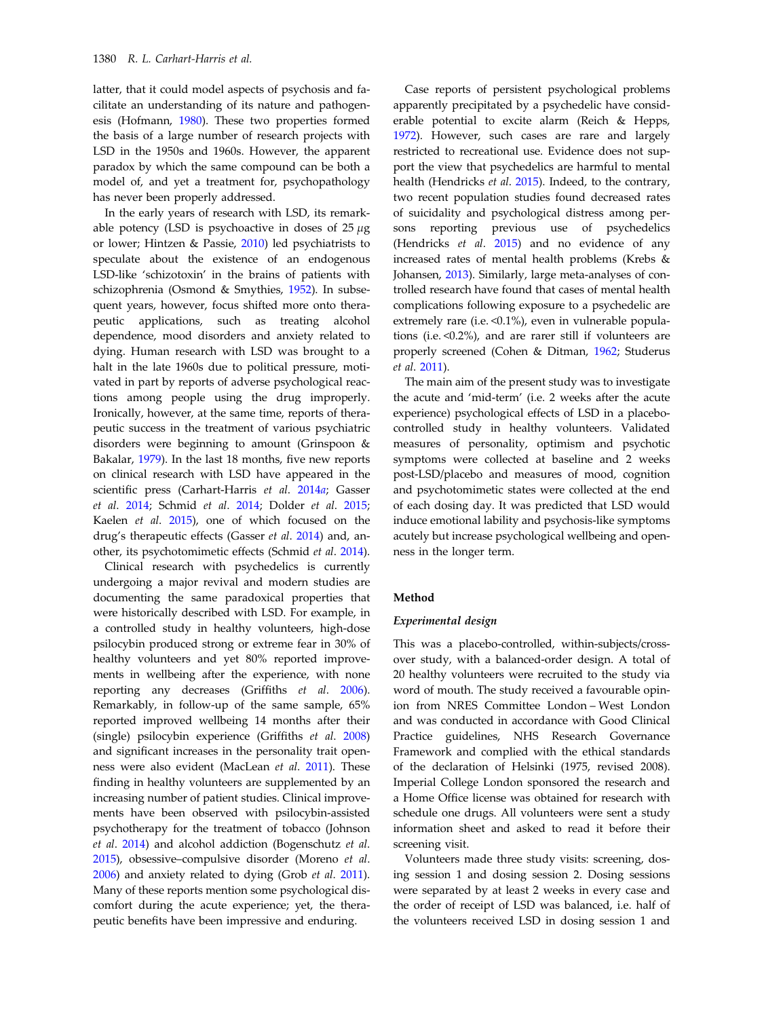latter, that it could model aspects of psychosis and facilitate an understanding of its nature and pathogenesis (Hofmann, [1980](#page-9-0)). These two properties formed the basis of a large number of research projects with LSD in the 1950s and 1960s. However, the apparent paradox by which the same compound can be both a model of, and yet a treatment for, psychopathology has never been properly addressed.

In the early years of research with LSD, its remarkable potency (LSD is psychoactive in doses of  $25 \mu$ g or lower; Hintzen & Passie, [2010](#page-9-0)) led psychiatrists to speculate about the existence of an endogenous LSD-like 'schizotoxin' in the brains of patients with schizophrenia (Osmond & Smythies, [1952\)](#page-10-0). In subsequent years, however, focus shifted more onto therapeutic applications, such as treating alcohol dependence, mood disorders and anxiety related to dying. Human research with LSD was brought to a halt in the late 1960s due to political pressure, motivated in part by reports of adverse psychological reactions among people using the drug improperly. Ironically, however, at the same time, reports of therapeutic success in the treatment of various psychiatric disorders were beginning to amount (Grinspoon & Bakalar, [1979\)](#page-9-0). In the last 18 months, five new reports on clinical research with LSD have appeared in the scientific press (Carhart-Harris et al. [2014](#page-9-0)a; Gasser et al. [2014](#page-9-0); Schmid et al. [2014](#page-10-0); Dolder et al. [2015](#page-9-0); Kaelen et al. [2015\)](#page-9-0), one of which focused on the drug's therapeutic effects (Gasser et al. [2014](#page-9-0)) and, another, its psychotomimetic effects (Schmid et al. [2014](#page-10-0)).

Clinical research with psychedelics is currently undergoing a major revival and modern studies are documenting the same paradoxical properties that were historically described with LSD. For example, in a controlled study in healthy volunteers, high-dose psilocybin produced strong or extreme fear in 30% of healthy volunteers and yet 80% reported improvements in wellbeing after the experience, with none reporting any decreases (Griffiths et al. [2006\)](#page-9-0). Remarkably, in follow-up of the same sample, 65% reported improved wellbeing 14 months after their (single) psilocybin experience (Griffiths et al. [2008\)](#page-9-0) and significant increases in the personality trait openness were also evident (MacLean et al. [2011](#page-10-0)). These finding in healthy volunteers are supplemented by an increasing number of patient studies. Clinical improvements have been observed with psilocybin-assisted psychotherapy for the treatment of tobacco (Johnson et al. [2014](#page-9-0)) and alcohol addiction (Bogenschutz et al. [2015\)](#page-8-0), obsessive–compulsive disorder (Moreno et al. [2006\)](#page-10-0) and anxiety related to dying (Grob et al. [2011](#page-9-0)). Many of these reports mention some psychological discomfort during the acute experience; yet, the therapeutic benefits have been impressive and enduring.

Case reports of persistent psychological problems apparently precipitated by a psychedelic have considerable potential to excite alarm (Reich & Hepps, [1972\)](#page-10-0). However, such cases are rare and largely restricted to recreational use. Evidence does not support the view that psychedelics are harmful to mental health (Hendricks et al. [2015](#page-9-0)). Indeed, to the contrary, two recent population studies found decreased rates of suicidality and psychological distress among persons reporting previous use of psychedelics (Hendricks et al. [2015\)](#page-9-0) and no evidence of any increased rates of mental health problems (Krebs & Johansen, [2013](#page-10-0)). Similarly, large meta-analyses of controlled research have found that cases of mental health complications following exposure to a psychedelic are extremely rare (i.e. < 0.1%), even in vulnerable populations (i.e. <0.2%), and are rarer still if volunteers are properly screened (Cohen & Ditman, [1962](#page-9-0); Studerus et al. [2011\)](#page-11-0).

The main aim of the present study was to investigate the acute and 'mid-term' (i.e. 2 weeks after the acute experience) psychological effects of LSD in a placebocontrolled study in healthy volunteers. Validated measures of personality, optimism and psychotic symptoms were collected at baseline and 2 weeks post-LSD/placebo and measures of mood, cognition and psychotomimetic states were collected at the end of each dosing day. It was predicted that LSD would induce emotional lability and psychosis-like symptoms acutely but increase psychological wellbeing and openness in the longer term.

# Method

# Experimental design

This was a placebo-controlled, within-subjects/crossover study, with a balanced-order design. A total of 20 healthy volunteers were recruited to the study via word of mouth. The study received a favourable opinion from NRES Committee London – West London and was conducted in accordance with Good Clinical Practice guidelines, NHS Research Governance Framework and complied with the ethical standards of the declaration of Helsinki (1975, revised 2008). Imperial College London sponsored the research and a Home Office license was obtained for research with schedule one drugs. All volunteers were sent a study information sheet and asked to read it before their screening visit.

Volunteers made three study visits: screening, dosing session 1 and dosing session 2. Dosing sessions were separated by at least 2 weeks in every case and the order of receipt of LSD was balanced, i.e. half of the volunteers received LSD in dosing session 1 and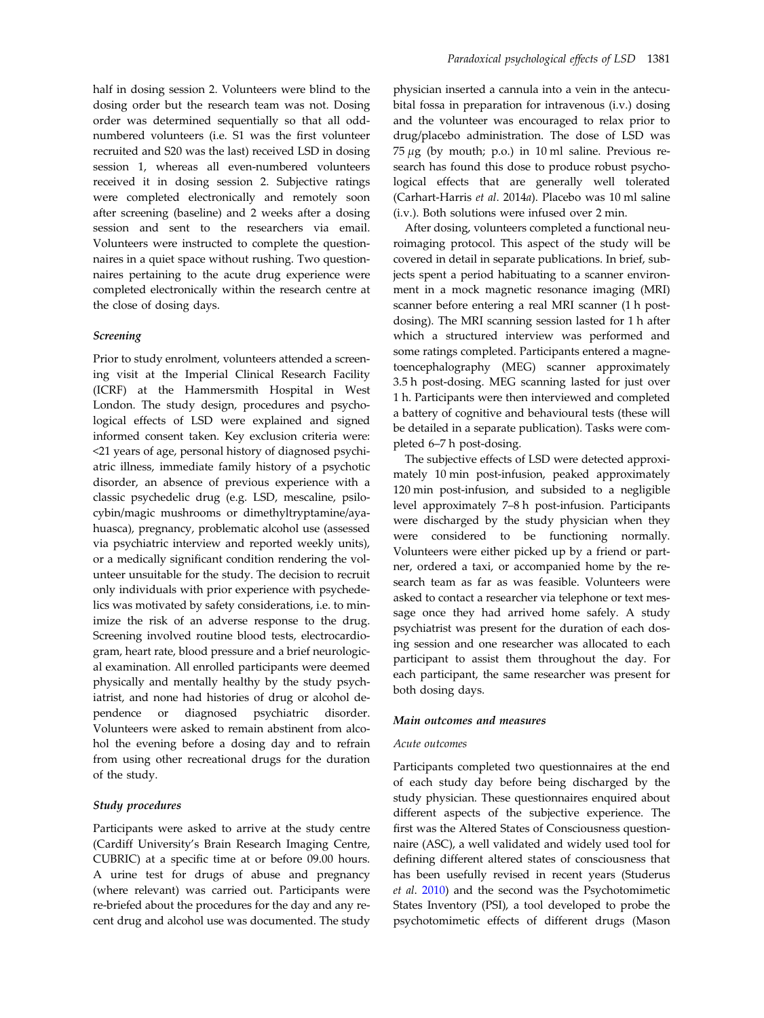half in dosing session 2. Volunteers were blind to the dosing order but the research team was not. Dosing order was determined sequentially so that all oddnumbered volunteers (i.e. S1 was the first volunteer recruited and S20 was the last) received LSD in dosing session 1, whereas all even-numbered volunteers received it in dosing session 2. Subjective ratings were completed electronically and remotely soon after screening (baseline) and 2 weeks after a dosing session and sent to the researchers via email. Volunteers were instructed to complete the questionnaires in a quiet space without rushing. Two questionnaires pertaining to the acute drug experience were completed electronically within the research centre at the close of dosing days.

# Screening

Prior to study enrolment, volunteers attended a screening visit at the Imperial Clinical Research Facility (ICRF) at the Hammersmith Hospital in West London. The study design, procedures and psychological effects of LSD were explained and signed informed consent taken. Key exclusion criteria were: <21 years of age, personal history of diagnosed psychiatric illness, immediate family history of a psychotic disorder, an absence of previous experience with a classic psychedelic drug (e.g. LSD, mescaline, psilocybin/magic mushrooms or dimethyltryptamine/ayahuasca), pregnancy, problematic alcohol use (assessed via psychiatric interview and reported weekly units), or a medically significant condition rendering the volunteer unsuitable for the study. The decision to recruit only individuals with prior experience with psychedelics was motivated by safety considerations, i.e. to minimize the risk of an adverse response to the drug. Screening involved routine blood tests, electrocardiogram, heart rate, blood pressure and a brief neurological examination. All enrolled participants were deemed physically and mentally healthy by the study psychiatrist, and none had histories of drug or alcohol dependence or diagnosed psychiatric disorder. Volunteers were asked to remain abstinent from alcohol the evening before a dosing day and to refrain from using other recreational drugs for the duration of the study.

## Study procedures

Participants were asked to arrive at the study centre (Cardiff University's Brain Research Imaging Centre, CUBRIC) at a specific time at or before 09.00 hours. A urine test for drugs of abuse and pregnancy (where relevant) was carried out. Participants were re-briefed about the procedures for the day and any recent drug and alcohol use was documented. The study

physician inserted a cannula into a vein in the antecubital fossa in preparation for intravenous (i.v.) dosing and the volunteer was encouraged to relax prior to drug/placebo administration. The dose of LSD was  $75 \mu$ g (by mouth; p.o.) in 10 ml saline. Previous research has found this dose to produce robust psychological effects that are generally well tolerated (Carhart-Harris et al. 2014a). Placebo was 10 ml saline (i.v.). Both solutions were infused over 2 min.

After dosing, volunteers completed a functional neuroimaging protocol. This aspect of the study will be covered in detail in separate publications. In brief, subjects spent a period habituating to a scanner environment in a mock magnetic resonance imaging (MRI) scanner before entering a real MRI scanner (1 h postdosing). The MRI scanning session lasted for 1 h after which a structured interview was performed and some ratings completed. Participants entered a magnetoencephalography (MEG) scanner approximately 3.5 h post-dosing. MEG scanning lasted for just over 1 h. Participants were then interviewed and completed a battery of cognitive and behavioural tests (these will be detailed in a separate publication). Tasks were completed 6–7 h post-dosing.

The subjective effects of LSD were detected approximately 10 min post-infusion, peaked approximately 120 min post-infusion, and subsided to a negligible level approximately 7–8 h post-infusion. Participants were discharged by the study physician when they were considered to be functioning normally. Volunteers were either picked up by a friend or partner, ordered a taxi, or accompanied home by the research team as far as was feasible. Volunteers were asked to contact a researcher via telephone or text message once they had arrived home safely. A study psychiatrist was present for the duration of each dosing session and one researcher was allocated to each participant to assist them throughout the day. For each participant, the same researcher was present for both dosing days.

# Main outcomes and measures

# Acute outcomes

Participants completed two questionnaires at the end of each study day before being discharged by the study physician. These questionnaires enquired about different aspects of the subjective experience. The first was the Altered States of Consciousness questionnaire (ASC), a well validated and widely used tool for defining different altered states of consciousness that has been usefully revised in recent years (Studerus et al. [2010](#page-11-0)) and the second was the Psychotomimetic States Inventory (PSI), a tool developed to probe the psychotomimetic effects of different drugs (Mason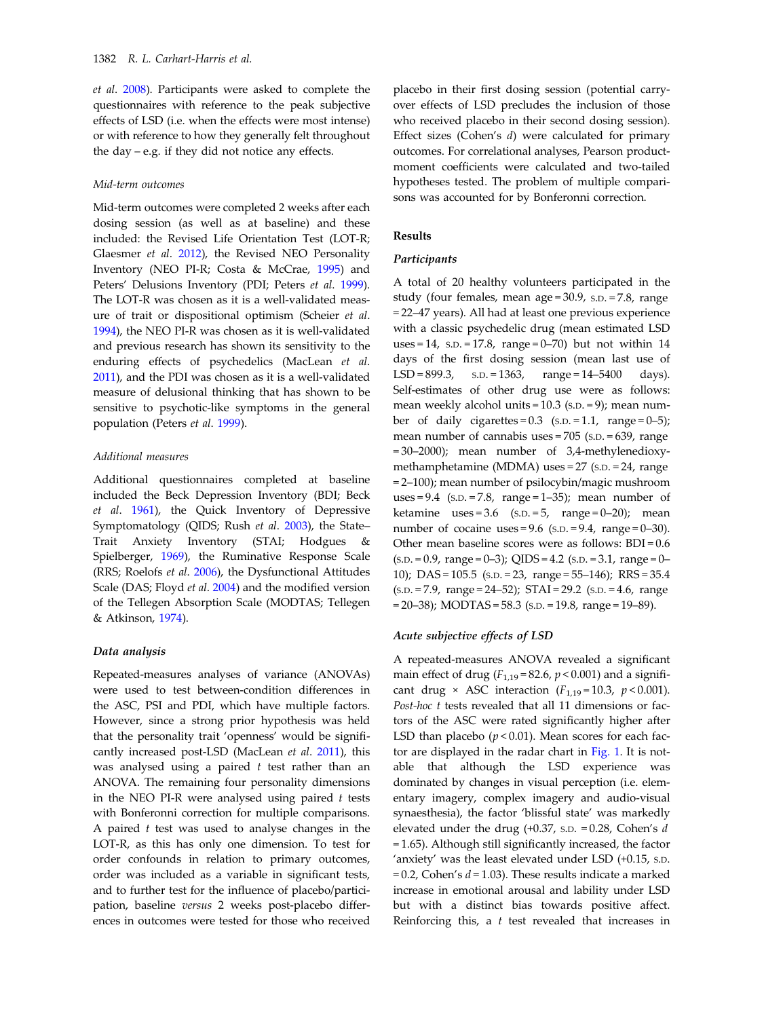et al. [2008\)](#page-10-0). Participants were asked to complete the questionnaires with reference to the peak subjective effects of LSD (i.e. when the effects were most intense) or with reference to how they generally felt throughout the day – e.g. if they did not notice any effects.

#### Mid-term outcomes

Mid-term outcomes were completed 2 weeks after each dosing session (as well as at baseline) and these included: the Revised Life Orientation Test (LOT-R; Glaesmer et al. [2012](#page-9-0)), the Revised NEO Personality Inventory (NEO PI-R; Costa & McCrae, [1995](#page-9-0)) and Peters' Delusions Inventory (PDI; Peters et al. [1999](#page-10-0)). The LOT-R was chosen as it is a well-validated measure of trait or dispositional optimism (Scheier et al. [1994\)](#page-10-0), the NEO PI-R was chosen as it is well-validated and previous research has shown its sensitivity to the enduring effects of psychedelics (MacLean et al. [2011\)](#page-10-0), and the PDI was chosen as it is a well-validated measure of delusional thinking that has shown to be sensitive to psychotic-like symptoms in the general population (Peters et al. [1999\)](#page-10-0).

## Additional measures

Additional questionnaires completed at baseline included the Beck Depression Inventory (BDI; Beck et al. [1961\)](#page-8-0), the Quick Inventory of Depressive Symptomatology (QIDS; Rush et al. [2003\)](#page-10-0), the State– Trait Anxiety Inventory (STAI; Hodgues & Spielberger, [1969\)](#page-9-0), the Ruminative Response Scale (RRS; Roelofs et al. [2006](#page-10-0)), the Dysfunctional Attitudes Scale (DAS; Floyd et al. [2004](#page-9-0)) and the modified version of the Tellegen Absorption Scale (MODTAS; Tellegen & Atkinson, [1974](#page-11-0)).

# Data analysis

Repeated-measures analyses of variance (ANOVAs) were used to test between-condition differences in the ASC, PSI and PDI, which have multiple factors. However, since a strong prior hypothesis was held that the personality trait 'openness' would be significantly increased post-LSD (MacLean et al. [2011](#page-10-0)), this was analysed using a paired  $t$  test rather than an ANOVA. The remaining four personality dimensions in the NEO PI-R were analysed using paired  $t$  tests with Bonferonni correction for multiple comparisons. A paired  $t$  test was used to analyse changes in the LOT-R, as this has only one dimension. To test for order confounds in relation to primary outcomes, order was included as a variable in significant tests, and to further test for the influence of placebo/participation, baseline versus 2 weeks post-placebo differences in outcomes were tested for those who received

placebo in their first dosing session (potential carryover effects of LSD precludes the inclusion of those who received placebo in their second dosing session). Effect sizes (Cohen's d) were calculated for primary outcomes. For correlational analyses, Pearson productmoment coefficients were calculated and two-tailed hypotheses tested. The problem of multiple comparisons was accounted for by Bonferonni correction.

#### Results

# Participants

A total of 20 healthy volunteers participated in the study (four females, mean age = 30.9, S.D. = 7.8, range = 22–47 years). All had at least one previous experience with a classic psychedelic drug (mean estimated LSD uses =  $14$ , s.p. =  $17.8$ , range =  $0-70$ ) but not within  $14$ days of the first dosing session (mean last use of LSD =  $899.3$ , s.p. =  $1363$ , range =  $14-5400$  days). Self-estimates of other drug use were as follows: mean weekly alcohol units =  $10.3$  (s.p. = 9); mean number of daily cigarettes =  $0.3$  (s.p. =  $1.1$ , range =  $0-5$ ); mean number of cannabis uses = 705 (S.D. = 639, range = 30–2000); mean number of 3,4-methylenedioxymethamphetamine (MDMA) uses = 27 (S.D. = 24, range = 2–100); mean number of psilocybin/magic mushroom uses =  $9.4$  (s.p. =  $7.8$ , range =  $1-35$ ); mean number of ketamine uses =  $3.6$  (s.p. =  $5$ , range =  $0-20$ ); mean number of cocaine uses =  $9.6$  (s.p. =  $9.4$ , range =  $0-30$ ). Other mean baseline scores were as follows: BDI = 0.6  $(S.D. = 0.9, range = 0-3);$  QIDS = 4.2  $(S.D. = 3.1, range = 0-1)$ 10); DAS = 105.5 (S.D. = 23, range = 55–146); RRS = 35.4 (S.D. = 7.9, range = 24–52); STAI = 29.2 (S.D. = 4.6, range  $= 20 - 38$ ); MODTAS = 58.3 (s.p.  $= 19.8$ , range = 19-89).

#### Acute subjective effects of LSD

A repeated-measures ANOVA revealed a significant main effect of drug ( $F_{1,19} = 82.6$ ,  $p < 0.001$ ) and a significant drug  $\times$  ASC interaction ( $F_{1,19} = 10.3$ ,  $p < 0.001$ ). Post-hoc t tests revealed that all 11 dimensions or factors of the ASC were rated significantly higher after LSD than placebo ( $p < 0.01$ ). Mean scores for each factor are displayed in the radar chart in [Fig. 1](#page-4-0). It is notable that although the LSD experience was dominated by changes in visual perception (i.e. elementary imagery, complex imagery and audio-visual synaesthesia), the factor 'blissful state' was markedly elevated under the drug (+0.37, s.p. = 0.28, Cohen's  $d$ = 1.65). Although still significantly increased, the factor 'anxiety' was the least elevated under LSD (+0.15, S.D.  $= 0.2$ , Cohen's  $d = 1.03$ ). These results indicate a marked increase in emotional arousal and lability under LSD but with a distinct bias towards positive affect. Reinforcing this, a  $t$  test revealed that increases in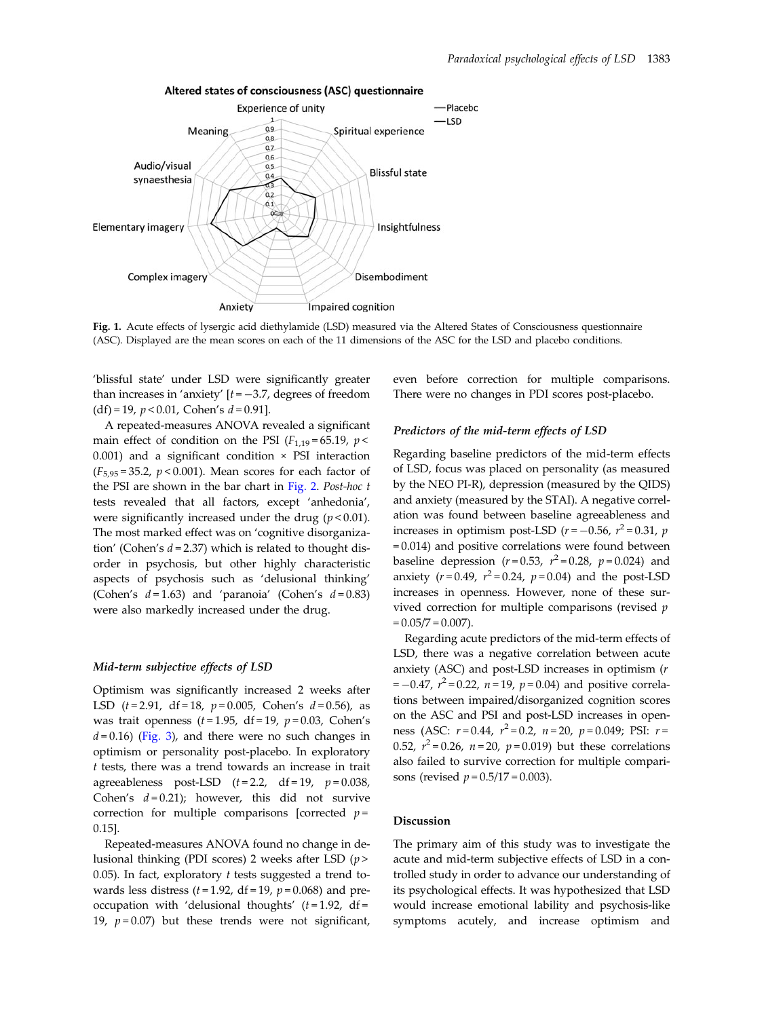<span id="page-4-0"></span>

# Altered states of consciousness (ASC) questionnaire

Fig. 1. Acute effects of lysergic acid diethylamide (LSD) measured via the Altered States of Consciousness questionnaire (ASC). Displayed are the mean scores on each of the 11 dimensions of the ASC for the LSD and placebo conditions.

'blissful state' under LSD were significantly greater than increases in 'anxiety'  $[t = -3.7]$ , degrees of freedom  $(df) = 19, p < 0.01, Cohen's d = 0.91$ .

A repeated-measures ANOVA revealed a significant main effect of condition on the PSI  $(F_{1,19} = 65.19, p <$ 0.001) and a significant condition  $\times$  PSI interaction  $(F_{5.95} = 35.2, p < 0.001)$ . Mean scores for each factor of the PSI are shown in the bar chart in [Fig. 2.](#page-5-0) Post-hoc t tests revealed that all factors, except 'anhedonia', were significantly increased under the drug  $(p < 0.01)$ . The most marked effect was on 'cognitive disorganization' (Cohen's  $d = 2.37$ ) which is related to thought disorder in psychosis, but other highly characteristic aspects of psychosis such as 'delusional thinking' (Cohen's  $d = 1.63$ ) and 'paranoia' (Cohen's  $d = 0.83$ ) were also markedly increased under the drug.

#### Mid-term subjective effects of LSD

Optimism was significantly increased 2 weeks after LSD  $(t = 2.91, df = 18, p = 0.005, Cohen's d = 0.56)$ , as was trait openness ( $t = 1.95$ , df = 19,  $p = 0.03$ , Cohen's  $d = 0.16$ ) ([Fig. 3\)](#page-6-0), and there were no such changes in optimism or personality post-placebo. In exploratory t tests, there was a trend towards an increase in trait agreeableness post-LSD  $(t=2.2, df=19, p=0.038,$ Cohen's  $d = 0.21$ ; however, this did not survive correction for multiple comparisons [corrected  $p =$ 0.15].

Repeated-measures ANOVA found no change in delusional thinking (PDI scores) 2 weeks after LSD ( $p$  > 0.05). In fact, exploratory  $t$  tests suggested a trend towards less distress ( $t = 1.92$ , df = 19,  $p = 0.068$ ) and preoccupation with 'delusional thoughts'  $(t=1.92, df=$ 19,  $p = 0.07$ ) but these trends were not significant, even before correction for multiple comparisons. There were no changes in PDI scores post-placebo.

#### Predictors of the mid-term effects of LSD

Regarding baseline predictors of the mid-term effects of LSD, focus was placed on personality (as measured by the NEO PI-R), depression (measured by the QIDS) and anxiety (measured by the STAI). A negative correlation was found between baseline agreeableness and increases in optimism post-LSD ( $r = -0.56$ ,  $r^2 = 0.31$ ,  $p$ = 0.014) and positive correlations were found between baseline depression ( $r = 0.53$ ,  $r^2 = 0.28$ ,  $p = 0.024$ ) and anxiety ( $r = 0.49$ ,  $r^2 = 0.24$ ,  $p = 0.04$ ) and the post-LSD increases in openness. However, none of these survived correction for multiple comparisons (revised p  $= 0.05/7 = 0.007$ ).

Regarding acute predictors of the mid-term effects of LSD, there was a negative correlation between acute anxiety (ASC) and post-LSD increases in optimism (r  $= -0.47$ ,  $r^2 = 0.22$ ,  $n = 19$ ,  $p = 0.04$ ) and positive correlations between impaired/disorganized cognition scores on the ASC and PSI and post-LSD increases in openness (ASC:  $r = 0.44$ ,  $r^2 = 0.2$ ,  $n = 20$ ,  $p = 0.049$ ; PSI:  $r =$ 0.52,  $r^2 = 0.26$ ,  $n = 20$ ,  $p = 0.019$ ) but these correlations also failed to survive correction for multiple comparisons (revised  $p = 0.5/17 = 0.003$ ).

# Discussion

The primary aim of this study was to investigate the acute and mid-term subjective effects of LSD in a controlled study in order to advance our understanding of its psychological effects. It was hypothesized that LSD would increase emotional lability and psychosis-like symptoms acutely, and increase optimism and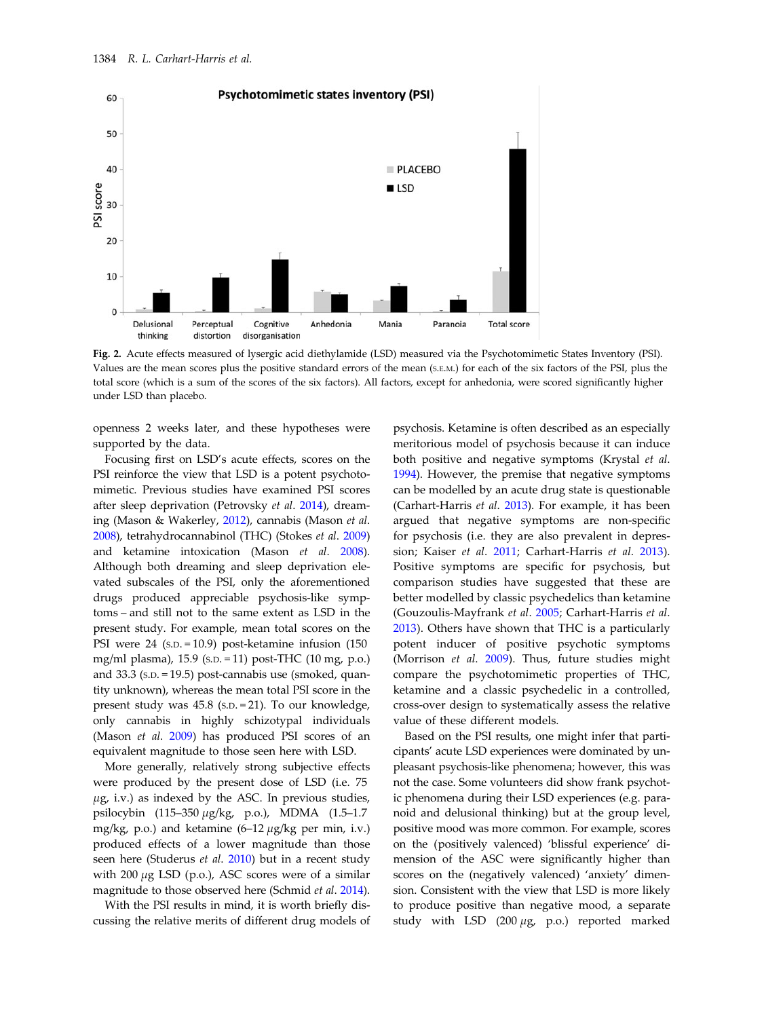<span id="page-5-0"></span>

Fig. 2. Acute effects measured of lysergic acid diethylamide (LSD) measured via the Psychotomimetic States Inventory (PSI). Values are the mean scores plus the positive standard errors of the mean (S.E.M.) for each of the six factors of the PSI, plus the total score (which is a sum of the scores of the six factors). All factors, except for anhedonia, were scored significantly higher under LSD than placebo.

openness 2 weeks later, and these hypotheses were supported by the data.

Focusing first on LSD's acute effects, scores on the PSI reinforce the view that LSD is a potent psychotomimetic. Previous studies have examined PSI scores after sleep deprivation (Petrovsky et al. [2014\)](#page-10-0), dreaming (Mason & Wakerley, [2012\)](#page-10-0), cannabis (Mason et al. [2008\)](#page-10-0), tetrahydrocannabinol (THC) (Stokes et al. [2009\)](#page-11-0) and ketamine intoxication (Mason et al. [2008](#page-10-0)). Although both dreaming and sleep deprivation elevated subscales of the PSI, only the aforementioned drugs produced appreciable psychosis-like symptoms – and still not to the same extent as LSD in the present study. For example, mean total scores on the PSI were 24 (S.D. = 10.9) post-ketamine infusion (150 mg/ml plasma), 15.9 (S.D. = 11) post-THC (10 mg, p.o.) and 33.3 (S.D. = 19.5) post-cannabis use (smoked, quantity unknown), whereas the mean total PSI score in the present study was 45.8 (S.D. = 21). To our knowledge, only cannabis in highly schizotypal individuals (Mason et al. [2009](#page-10-0)) has produced PSI scores of an equivalent magnitude to those seen here with LSD.

More generally, relatively strong subjective effects were produced by the present dose of LSD (i.e. 75  $\mu$ g, i.v.) as indexed by the ASC. In previous studies, psilocybin (115–350 µg/kg, p.o.), MDMA (1.5–1.7 mg/kg, p.o.) and ketamine (6–12 µg/kg per min, i.v.) produced effects of a lower magnitude than those seen here (Studerus et al. [2010](#page-11-0)) but in a recent study with 200  $\mu$ g LSD (p.o.), ASC scores were of a similar magnitude to those observed here (Schmid et al. [2014](#page-10-0)).

With the PSI results in mind, it is worth briefly discussing the relative merits of different drug models of

psychosis. Ketamine is often described as an especially meritorious model of psychosis because it can induce both positive and negative symptoms (Krystal et al. [1994\)](#page-10-0). However, the premise that negative symptoms can be modelled by an acute drug state is questionable (Carhart-Harris et al. [2013\)](#page-9-0). For example, it has been argued that negative symptoms are non-specific for psychosis (i.e. they are also prevalent in depression; Kaiser et al. [2011](#page-10-0); Carhart-Harris et al. [2013](#page-9-0)). Positive symptoms are specific for psychosis, but comparison studies have suggested that these are better modelled by classic psychedelics than ketamine (Gouzoulis-Mayfrank et al. [2005](#page-9-0); Carhart-Harris et al. [2013\)](#page-9-0). Others have shown that THC is a particularly potent inducer of positive psychotic symptoms (Morrison et al. [2009\)](#page-10-0). Thus, future studies might compare the psychotomimetic properties of THC, ketamine and a classic psychedelic in a controlled, cross-over design to systematically assess the relative value of these different models.

Based on the PSI results, one might infer that participants' acute LSD experiences were dominated by unpleasant psychosis-like phenomena; however, this was not the case. Some volunteers did show frank psychotic phenomena during their LSD experiences (e.g. paranoid and delusional thinking) but at the group level, positive mood was more common. For example, scores on the (positively valenced) 'blissful experience' dimension of the ASC were significantly higher than scores on the (negatively valenced) 'anxiety' dimension. Consistent with the view that LSD is more likely to produce positive than negative mood, a separate study with LSD  $(200 \mu g, p.o.)$  reported marked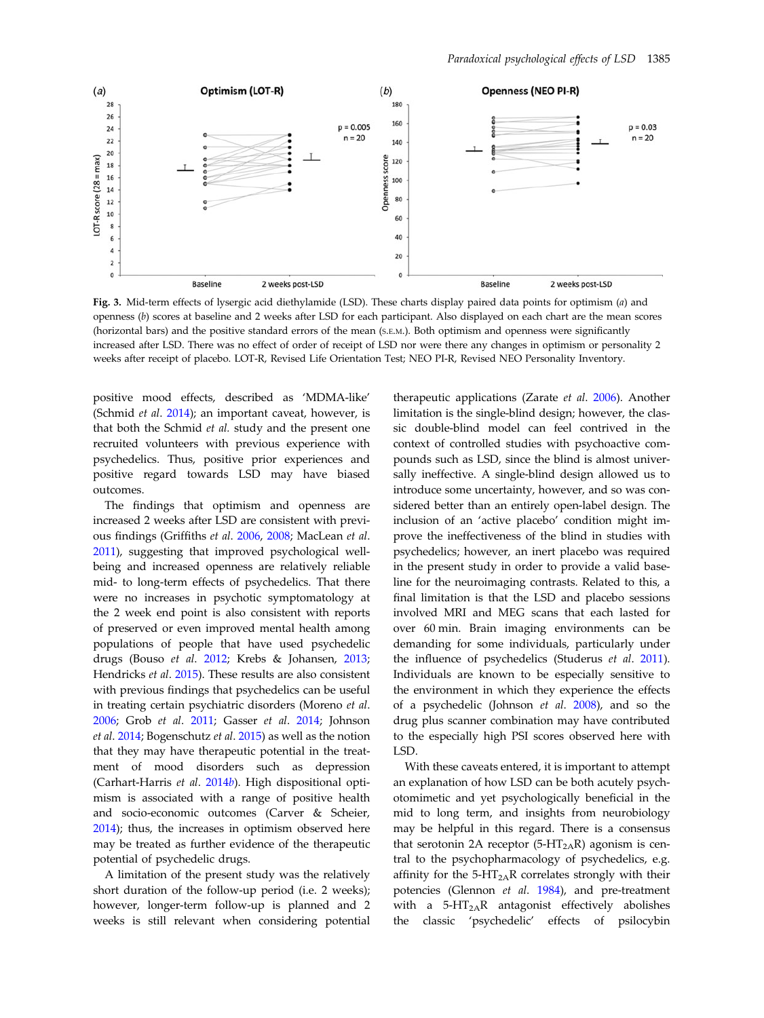<span id="page-6-0"></span>

Fig. 3. Mid-term effects of lysergic acid diethylamide (LSD). These charts display paired data points for optimism (a) and openness (b) scores at baseline and 2 weeks after LSD for each participant. Also displayed on each chart are the mean scores (horizontal bars) and the positive standard errors of the mean (S.E.M.). Both optimism and openness were significantly increased after LSD. There was no effect of order of receipt of LSD nor were there any changes in optimism or personality 2 weeks after receipt of placebo. LOT-R, Revised Life Orientation Test; NEO PI-R, Revised NEO Personality Inventory.

positive mood effects, described as 'MDMA-like' (Schmid et al. [2014](#page-10-0)); an important caveat, however, is that both the Schmid et al. study and the present one recruited volunteers with previous experience with psychedelics. Thus, positive prior experiences and positive regard towards LSD may have biased outcomes.

The findings that optimism and openness are increased 2 weeks after LSD are consistent with previous findings (Griffiths et al. [2006](#page-9-0), [2008](#page-9-0); MacLean et al. [2011\)](#page-10-0), suggesting that improved psychological wellbeing and increased openness are relatively reliable mid- to long-term effects of psychedelics. That there were no increases in psychotic symptomatology at the 2 week end point is also consistent with reports of preserved or even improved mental health among populations of people that have used psychedelic drugs (Bouso et al. [2012](#page-8-0); Krebs & Johansen, [2013](#page-10-0); Hendricks et al. [2015\)](#page-9-0). These results are also consistent with previous findings that psychedelics can be useful in treating certain psychiatric disorders (Moreno et al. [2006;](#page-10-0) Grob et al. [2011;](#page-9-0) Gasser et al. [2014](#page-9-0); Johnson et al. [2014;](#page-9-0) Bogenschutz et al. [2015](#page-8-0)) as well as the notion that they may have therapeutic potential in the treatment of mood disorders such as depression (Carhart-Harris et al. [2014](#page-9-0)b). High dispositional optimism is associated with a range of positive health and socio-economic outcomes (Carver & Scheier, [2014\)](#page-9-0); thus, the increases in optimism observed here may be treated as further evidence of the therapeutic potential of psychedelic drugs.

A limitation of the present study was the relatively short duration of the follow-up period (i.e. 2 weeks); however, longer-term follow-up is planned and 2 weeks is still relevant when considering potential

therapeutic applications (Zarate et al. [2006\)](#page-11-0). Another limitation is the single-blind design; however, the classic double-blind model can feel contrived in the context of controlled studies with psychoactive compounds such as LSD, since the blind is almost universally ineffective. A single-blind design allowed us to introduce some uncertainty, however, and so was considered better than an entirely open-label design. The inclusion of an 'active placebo' condition might improve the ineffectiveness of the blind in studies with psychedelics; however, an inert placebo was required in the present study in order to provide a valid baseline for the neuroimaging contrasts. Related to this, a final limitation is that the LSD and placebo sessions involved MRI and MEG scans that each lasted for over 60 min. Brain imaging environments can be demanding for some individuals, particularly under the influence of psychedelics (Studerus et al. [2011](#page-11-0)). Individuals are known to be especially sensitive to the environment in which they experience the effects of a psychedelic (Johnson et al. [2008](#page-9-0)), and so the drug plus scanner combination may have contributed to the especially high PSI scores observed here with LSD.

With these caveats entered, it is important to attempt an explanation of how LSD can be both acutely psychotomimetic and yet psychologically beneficial in the mid to long term, and insights from neurobiology may be helpful in this regard. There is a consensus that serotonin 2A receptor  $(5-HT<sub>2A</sub>R)$  agonism is central to the psychopharmacology of psychedelics, e.g. affinity for the  $5-HT_{2A}R$  correlates strongly with their potencies (Glennon et al. [1984\)](#page-9-0), and pre-treatment with a  $5-HT<sub>2A</sub>R$  antagonist effectively abolishes the classic 'psychedelic' effects of psilocybin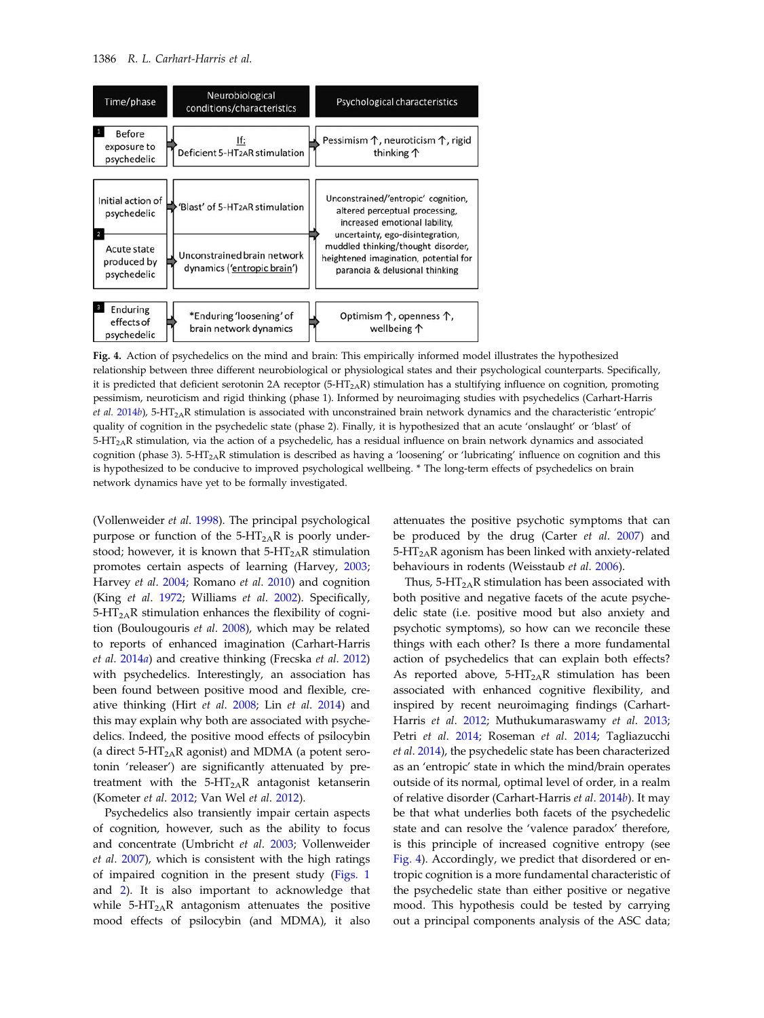

Fig. 4. Action of psychedelics on the mind and brain: This empirically informed model illustrates the hypothesized relationship between three different neurobiological or physiological states and their psychological counterparts. Specifically, it is predicted that deficient serotonin 2A receptor (5-HT<sub>2A</sub>R) stimulation has a stultifying influence on cognition, promoting pessimism, neuroticism and rigid thinking (phase 1). Informed by neuroimaging studies with psychedelics (Carhart-Harris et al. [2014](#page-9-0)b), 5-HT<sub>2A</sub>R stimulation is associated with unconstrained brain network dynamics and the characteristic 'entropic' quality of cognition in the psychedelic state (phase 2). Finally, it is hypothesized that an acute 'onslaught' or 'blast' of  $5-HT<sub>2</sub>R$  stimulation, via the action of a psychedelic, has a residual influence on brain network dynamics and associated cognition (phase 3).  $5\text{-}HT_{2\text{A}}R$  stimulation is described as having a 'loosening' or 'lubricating' influence on cognition and this is hypothesized to be conducive to improved psychological wellbeing. \* The long-term effects of psychedelics on brain network dynamics have yet to be formally investigated.

(Vollenweider et al. [1998](#page-11-0)). The principal psychological purpose or function of the  $5-HT_{2A}R$  is poorly understood; however, it is known that  $5-HT_{2A}R$  stimulation promotes certain aspects of learning (Harvey, [2003](#page-9-0); Harvey et al. [2004](#page-9-0); Romano et al. [2010\)](#page-10-0) and cognition (King et al. [1972](#page-10-0); Williams et al. [2002\)](#page-11-0). Specifically,  $5-HT<sub>2A</sub>R$  stimulation enhances the flexibility of cognition (Boulougouris et al. [2008\)](#page-8-0), which may be related to reports of enhanced imagination (Carhart-Harris et al. [2014](#page-9-0)a) and creative thinking (Frecska et al. [2012\)](#page-9-0) with psychedelics. Interestingly, an association has been found between positive mood and flexible, creative thinking (Hirt et al. [2008;](#page-9-0) Lin et al. [2014](#page-10-0)) and this may explain why both are associated with psychedelics. Indeed, the positive mood effects of psilocybin (a direct  $5-HT_{2A}R$  agonist) and MDMA (a potent serotonin 'releaser') are significantly attenuated by pretreatment with the  $5-HT_{2A}R$  antagonist ketanserin (Kometer et al. [2012](#page-10-0); Van Wel et al. [2012](#page-11-0)).

Psychedelics also transiently impair certain aspects of cognition, however, such as the ability to focus and concentrate (Umbricht et al. [2003;](#page-11-0) Vollenweider et al. [2007\)](#page-11-0), which is consistent with the high ratings of impaired cognition in the present study ([Figs. 1](#page-4-0) and [2](#page-5-0)). It is also important to acknowledge that while  $5-HT_{2A}R$  antagonism attenuates the positive mood effects of psilocybin (and MDMA), it also

attenuates the positive psychotic symptoms that can be produced by the drug (Carter et al. [2007](#page-9-0)) and  $5-HT<sub>2A</sub>R$  agonism has been linked with anxiety-related behaviours in rodents (Weisstaub et al. [2006](#page-11-0)).

Thus,  $5-HT<sub>2A</sub>R$  stimulation has been associated with both positive and negative facets of the acute psychedelic state (i.e. positive mood but also anxiety and psychotic symptoms), so how can we reconcile these things with each other? Is there a more fundamental action of psychedelics that can explain both effects? As reported above,  $5-HT_{2A}R$  stimulation has been associated with enhanced cognitive flexibility, and inspired by recent neuroimaging findings (Carhart-Harris et al. [2012](#page-9-0); Muthukumaraswamy et al. [2013](#page-10-0); Petri et al. [2014](#page-10-0); Roseman et al. [2014;](#page-10-0) Tagliazucchi et al. [2014\)](#page-11-0), the psychedelic state has been characterized as an 'entropic' state in which the mind/brain operates outside of its normal, optimal level of order, in a realm of relative disorder (Carhart-Harris et al. [2014](#page-9-0)b). It may be that what underlies both facets of the psychedelic state and can resolve the 'valence paradox' therefore, is this principle of increased cognitive entropy (see Fig. 4). Accordingly, we predict that disordered or entropic cognition is a more fundamental characteristic of the psychedelic state than either positive or negative mood. This hypothesis could be tested by carrying out a principal components analysis of the ASC data;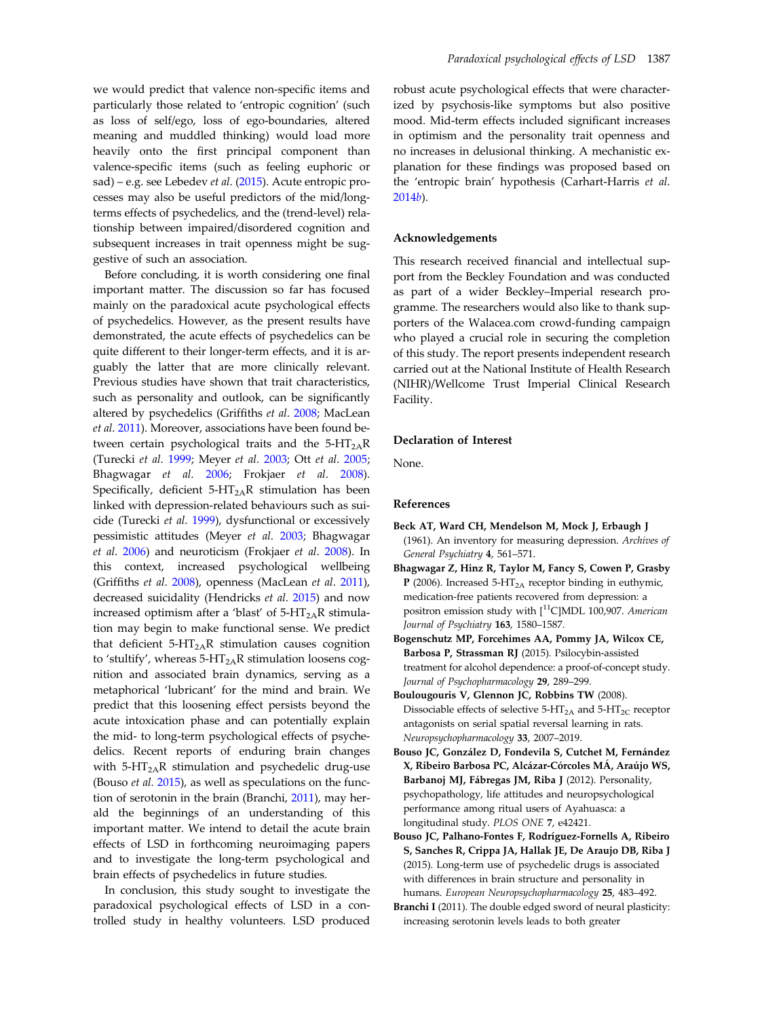<span id="page-8-0"></span>we would predict that valence non-specific items and particularly those related to 'entropic cognition' (such as loss of self/ego, loss of ego-boundaries, altered meaning and muddled thinking) would load more heavily onto the first principal component than valence-specific items (such as feeling euphoric or sad) – e.g. see Lebedev et al. ([2015\)](#page-10-0). Acute entropic processes may also be useful predictors of the mid/longterms effects of psychedelics, and the (trend-level) relationship between impaired/disordered cognition and subsequent increases in trait openness might be suggestive of such an association.

Before concluding, it is worth considering one final important matter. The discussion so far has focused mainly on the paradoxical acute psychological effects of psychedelics. However, as the present results have demonstrated, the acute effects of psychedelics can be quite different to their longer-term effects, and it is arguably the latter that are more clinically relevant. Previous studies have shown that trait characteristics, such as personality and outlook, can be significantly altered by psychedelics (Griffiths et al. [2008](#page-9-0); MacLean et al. [2011\)](#page-10-0). Moreover, associations have been found between certain psychological traits and the  $5-HT_{2A}R$ (Turecki et al. [1999](#page-11-0); Meyer et al. [2003;](#page-10-0) Ott et al. [2005](#page-10-0); Bhagwagar et al. 2006; Frokjaer et al. [2008](#page-9-0)). Specifically, deficient  $5-HT_{2A}R$  stimulation has been linked with depression-related behaviours such as suicide (Turecki et al. [1999\)](#page-11-0), dysfunctional or excessively pessimistic attitudes (Meyer et al. [2003](#page-10-0); Bhagwagar et al. 2006) and neuroticism (Frokjaer et al. [2008](#page-9-0)). In this context, increased psychological wellbeing (Griffiths et al. [2008](#page-9-0)), openness (MacLean et al. [2011](#page-10-0)), decreased suicidality (Hendricks et al. [2015](#page-9-0)) and now increased optimism after a 'blast' of  $5-HT_{2A}R$  stimulation may begin to make functional sense. We predict that deficient  $5-HT<sub>2A</sub>R$  stimulation causes cognition to 'stultify', whereas  $5-HT_{2A}R$  stimulation loosens cognition and associated brain dynamics, serving as a metaphorical 'lubricant' for the mind and brain. We predict that this loosening effect persists beyond the acute intoxication phase and can potentially explain the mid- to long-term psychological effects of psychedelics. Recent reports of enduring brain changes with 5-HT<sub>2A</sub>R stimulation and psychedelic drug-use (Bouso et al. 2015), as well as speculations on the function of serotonin in the brain (Branchi, 2011), may herald the beginnings of an understanding of this important matter. We intend to detail the acute brain effects of LSD in forthcoming neuroimaging papers and to investigate the long-term psychological and brain effects of psychedelics in future studies.

In conclusion, this study sought to investigate the paradoxical psychological effects of LSD in a controlled study in healthy volunteers. LSD produced

robust acute psychological effects that were characterized by psychosis-like symptoms but also positive mood. Mid-term effects included significant increases in optimism and the personality trait openness and no increases in delusional thinking. A mechanistic explanation for these findings was proposed based on the 'entropic brain' hypothesis (Carhart-Harris et al. [2014](#page-9-0)b).

# Acknowledgements

This research received financial and intellectual support from the Beckley Foundation and was conducted as part of a wider Beckley–Imperial research programme. The researchers would also like to thank supporters of the Walacea.com crowd-funding campaign who played a crucial role in securing the completion of this study. The report presents independent research carried out at the National Institute of Health Research (NIHR)/Wellcome Trust Imperial Clinical Research Facility.

#### Declaration of Interest

None.

#### References

- Beck AT, Ward CH, Mendelson M, Mock J, Erbaugh J (1961). An inventory for measuring depression. Archives of General Psychiatry 4, 561–571.
- Bhagwagar Z, Hinz R, Taylor M, Fancy S, Cowen P, Grasby **P** (2006). Increased  $5-HT<sub>2A</sub>$  receptor binding in euthymic, medication-free patients recovered from depression: a positron emission study with [<sup>11</sup>C]MDL 100,907. American Journal of Psychiatry 163, 1580–1587.
- Bogenschutz MP, Forcehimes AA, Pommy JA, Wilcox CE, Barbosa P, Strassman RJ (2015). Psilocybin-assisted treatment for alcohol dependence: a proof-of-concept study. Journal of Psychopharmacology 29, 289–299.
- Boulougouris V, Glennon JC, Robbins TW (2008). Dissociable effects of selective  $5-HT_{2A}$  and  $5-HT_{2C}$  receptor antagonists on serial spatial reversal learning in rats. Neuropsychopharmacology 33, 2007–2019.
- Bouso JC, González D, Fondevila S, Cutchet M, Fernández X, Ribeiro Barbosa PC, Alcázar-Córcoles MÁ, Araújo WS, Barbanoj MJ, Fábregas JM, Riba J (2012). Personality, psychopathology, life attitudes and neuropsychological performance among ritual users of Ayahuasca: a longitudinal study. PLOS ONE 7, e42421.
- Bouso JC, Palhano-Fontes F, Rodríguez-Fornells A, Ribeiro S, Sanches R, Crippa JA, Hallak JE, De Araujo DB, Riba J (2015). Long-term use of psychedelic drugs is associated with differences in brain structure and personality in humans. European Neuropsychopharmacology 25, 483–492.
- Branchi I (2011). The double edged sword of neural plasticity: increasing serotonin levels leads to both greater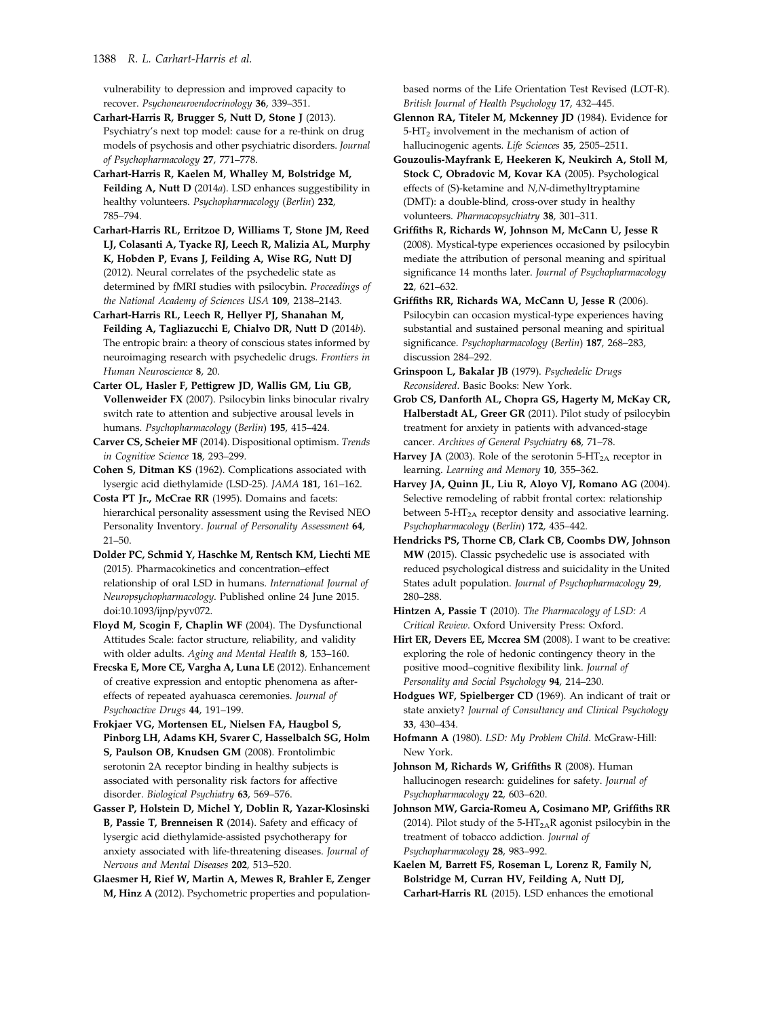<span id="page-9-0"></span>vulnerability to depression and improved capacity to recover. Psychoneuroendocrinology 36, 339–351.

Carhart-Harris R, Brugger S, Nutt D, Stone J (2013). Psychiatry's next top model: cause for a re-think on drug models of psychosis and other psychiatric disorders. Journal of Psychopharmacology 27, 771–778.

Carhart-Harris R, Kaelen M, Whalley M, Bolstridge M, Feilding A, Nutt D (2014a). LSD enhances suggestibility in healthy volunteers. Psychopharmacology (Berlin) 232, 785–794.

Carhart-Harris RL, Erritzoe D, Williams T, Stone JM, Reed LJ, Colasanti A, Tyacke RJ, Leech R, Malizia AL, Murphy K, Hobden P, Evans J, Feilding A, Wise RG, Nutt DJ (2012). Neural correlates of the psychedelic state as determined by fMRI studies with psilocybin. Proceedings of the National Academy of Sciences USA 109, 2138–2143.

Carhart-Harris RL, Leech R, Hellyer PJ, Shanahan M, Feilding A, Tagliazucchi E, Chialvo DR, Nutt D (2014b). The entropic brain: a theory of conscious states informed by neuroimaging research with psychedelic drugs. Frontiers in Human Neuroscience 8, 20.

Carter OL, Hasler F, Pettigrew JD, Wallis GM, Liu GB, Vollenweider FX (2007). Psilocybin links binocular rivalry switch rate to attention and subjective arousal levels in humans. Psychopharmacology (Berlin) 195, 415–424.

Carver CS, Scheier MF (2014). Dispositional optimism. Trends in Cognitive Science 18, 293–299.

Cohen S, Ditman KS (1962). Complications associated with lysergic acid diethylamide (LSD-25). JAMA 181, 161–162.

Costa PT Jr., McCrae RR (1995). Domains and facets: hierarchical personality assessment using the Revised NEO Personality Inventory. Journal of Personality Assessment 64, 21–50.

Dolder PC, Schmid Y, Haschke M, Rentsch KM, Liechti ME (2015). Pharmacokinetics and concentration–effect relationship of oral LSD in humans. International Journal of Neuropsychopharmacology. Published online 24 June 2015. doi:10.1093/ijnp/pyv072.

Floyd M, Scogin F, Chaplin WF (2004). The Dysfunctional Attitudes Scale: factor structure, reliability, and validity with older adults. Aging and Mental Health 8, 153–160.

Frecska E, More CE, Vargha A, Luna LE (2012). Enhancement of creative expression and entoptic phenomena as aftereffects of repeated ayahuasca ceremonies. Journal of Psychoactive Drugs 44, 191–199.

Frokjaer VG, Mortensen EL, Nielsen FA, Haugbol S, Pinborg LH, Adams KH, Svarer C, Hasselbalch SG, Holm S, Paulson OB, Knudsen GM (2008). Frontolimbic serotonin 2A receptor binding in healthy subjects is associated with personality risk factors for affective disorder. Biological Psychiatry 63, 569–576.

Gasser P, Holstein D, Michel Y, Doblin R, Yazar-Klosinski B, Passie T, Brenneisen R (2014). Safety and efficacy of lysergic acid diethylamide-assisted psychotherapy for anxiety associated with life-threatening diseases. Journal of Nervous and Mental Diseases 202, 513–520.

Glaesmer H, Rief W, Martin A, Mewes R, Brahler E, Zenger M, Hinz A (2012). Psychometric properties and populationbased norms of the Life Orientation Test Revised (LOT-R). British Journal of Health Psychology 17, 432–445.

Glennon RA, Titeler M, Mckenney JD (1984). Evidence for  $5-HT<sub>2</sub>$  involvement in the mechanism of action of hallucinogenic agents. Life Sciences 35, 2505–2511.

Gouzoulis-Mayfrank E, Heekeren K, Neukirch A, Stoll M, Stock C, Obradovic M, Kovar KA (2005). Psychological effects of (S)-ketamine and N,N-dimethyltryptamine (DMT): a double-blind, cross-over study in healthy volunteers. Pharmacopsychiatry 38, 301–311.

Griffiths R, Richards W, Johnson M, McCann U, Jesse R (2008). Mystical-type experiences occasioned by psilocybin mediate the attribution of personal meaning and spiritual significance 14 months later. Journal of Psychopharmacology 22, 621–632.

Griffiths RR, Richards WA, McCann U, Jesse R (2006). Psilocybin can occasion mystical-type experiences having substantial and sustained personal meaning and spiritual significance. Psychopharmacology (Berlin) 187, 268–283, discussion 284–292.

Grinspoon L, Bakalar JB (1979). Psychedelic Drugs Reconsidered. Basic Books: New York.

Grob CS, Danforth AL, Chopra GS, Hagerty M, McKay CR, Halberstadt AL, Greer GR (2011). Pilot study of psilocybin treatment for anxiety in patients with advanced-stage cancer. Archives of General Psychiatry 68, 71–78.

Harvey JA (2003). Role of the serotonin  $5-HT_{2A}$  receptor in learning. Learning and Memory 10, 355–362.

Harvey JA, Quinn JL, Liu R, Aloyo VJ, Romano AG (2004). Selective remodeling of rabbit frontal cortex: relationship between  $5-HT<sub>2A</sub>$  receptor density and associative learning. Psychopharmacology (Berlin) 172, 435–442.

Hendricks PS, Thorne CB, Clark CB, Coombs DW, Johnson MW (2015). Classic psychedelic use is associated with reduced psychological distress and suicidality in the United States adult population. Journal of Psychopharmacology 29, 280–288.

Hintzen A, Passie T (2010). The Pharmacology of LSD: A Critical Review. Oxford University Press: Oxford.

Hirt ER, Devers EE, Mccrea SM (2008). I want to be creative: exploring the role of hedonic contingency theory in the positive mood–cognitive flexibility link. Journal of Personality and Social Psychology 94, 214–230.

Hodgues WF, Spielberger CD (1969). An indicant of trait or state anxiety? Journal of Consultancy and Clinical Psychology 33, 430–434.

Hofmann A (1980). LSD: My Problem Child. McGraw-Hill: New York.

Johnson M, Richards W, Griffiths R (2008). Human hallucinogen research: guidelines for safety. Journal of Psychopharmacology 22, 603–620.

Johnson MW, Garcia-Romeu A, Cosimano MP, Griffiths RR (2014). Pilot study of the 5-HT<sub>2A</sub>R agonist psilocybin in the treatment of tobacco addiction. Journal of Psychopharmacology 28, 983–992.

Kaelen M, Barrett FS, Roseman L, Lorenz R, Family N, Bolstridge M, Curran HV, Feilding A, Nutt DJ, Carhart-Harris RL (2015). LSD enhances the emotional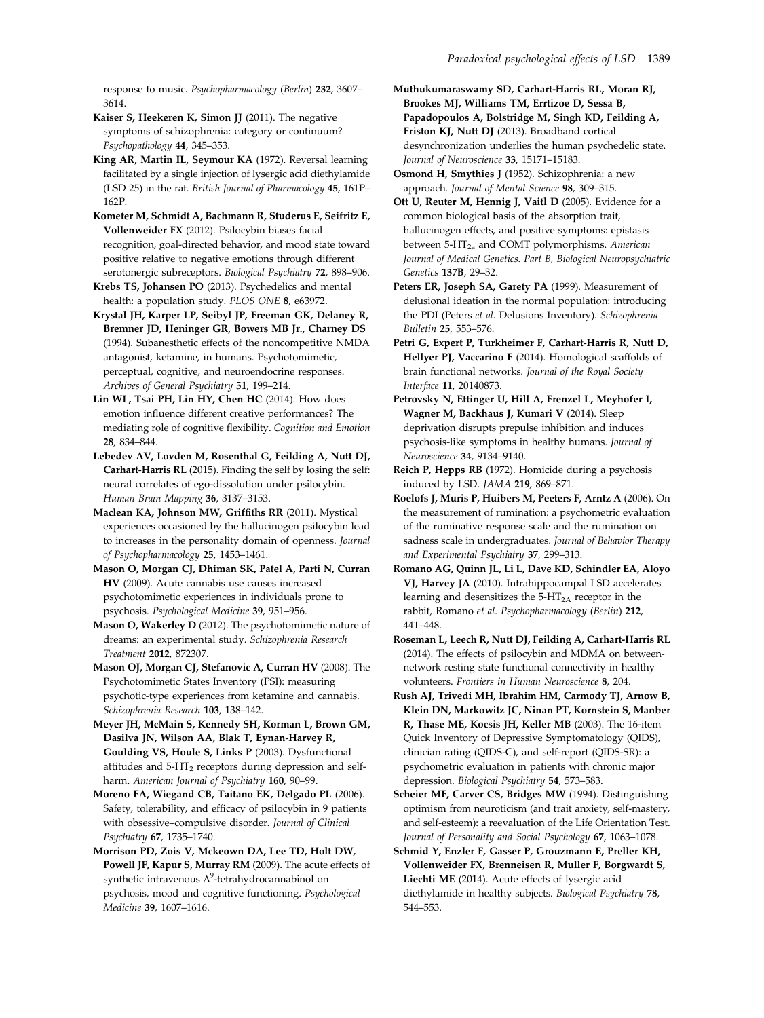<span id="page-10-0"></span>response to music. Psychopharmacology (Berlin) 232, 3607– 3614.

Kaiser S, Heekeren K, Simon JJ (2011). The negative symptoms of schizophrenia: category or continuum? Psychopathology 44, 345–353.

King AR, Martin IL, Seymour KA (1972). Reversal learning facilitated by a single injection of lysergic acid diethylamide (LSD 25) in the rat. British Journal of Pharmacology 45, 161P– 162P.

Kometer M, Schmidt A, Bachmann R, Studerus E, Seifritz E, Vollenweider FX (2012). Psilocybin biases facial recognition, goal-directed behavior, and mood state toward positive relative to negative emotions through different serotonergic subreceptors. Biological Psychiatry 72, 898–906.

Krebs TS, Johansen PO (2013). Psychedelics and mental health: a population study. PLOS ONE 8, e63972.

Krystal JH, Karper LP, Seibyl JP, Freeman GK, Delaney R, Bremner JD, Heninger GR, Bowers MB Jr., Charney DS (1994). Subanesthetic effects of the noncompetitive NMDA antagonist, ketamine, in humans. Psychotomimetic, perceptual, cognitive, and neuroendocrine responses. Archives of General Psychiatry 51, 199–214.

Lin WL, Tsai PH, Lin HY, Chen HC (2014). How does emotion influence different creative performances? The mediating role of cognitive flexibility. Cognition and Emotion 28, 834–844.

Lebedev AV, Lovden M, Rosenthal G, Feilding A, Nutt DJ, Carhart-Harris RL (2015). Finding the self by losing the self: neural correlates of ego-dissolution under psilocybin. Human Brain Mapping 36, 3137–3153.

Maclean KA, Johnson MW, Griffiths RR (2011). Mystical experiences occasioned by the hallucinogen psilocybin lead to increases in the personality domain of openness. Journal of Psychopharmacology 25, 1453–1461.

Mason O, Morgan CJ, Dhiman SK, Patel A, Parti N, Curran HV (2009). Acute cannabis use causes increased psychotomimetic experiences in individuals prone to psychosis. Psychological Medicine 39, 951–956.

Mason O, Wakerley D (2012). The psychotomimetic nature of dreams: an experimental study. Schizophrenia Research Treatment 2012, 872307.

Mason OJ, Morgan CJ, Stefanovic A, Curran HV (2008). The Psychotomimetic States Inventory (PSI): measuring psychotic-type experiences from ketamine and cannabis. Schizophrenia Research 103, 138–142.

Meyer JH, McMain S, Kennedy SH, Korman L, Brown GM, Dasilva JN, Wilson AA, Blak T, Eynan-Harvey R, Goulding VS, Houle S, Links P (2003). Dysfunctional attitudes and  $5-HT_2$  receptors during depression and selfharm. American Journal of Psychiatry 160, 90-99.

Moreno FA, Wiegand CB, Taitano EK, Delgado PL (2006). Safety, tolerability, and efficacy of psilocybin in 9 patients with obsessive–compulsive disorder. Journal of Clinical Psychiatry 67, 1735–1740.

Morrison PD, Zois V, Mckeown DA, Lee TD, Holt DW, Powell JF, Kapur S, Murray RM (2009). The acute effects of synthetic intravenous  $\Delta^9$ -tetrahydrocannabinol on psychosis, mood and cognitive functioning. Psychological Medicine 39, 1607–1616.

Muthukumaraswamy SD, Carhart-Harris RL, Moran RJ, Brookes MJ, Williams TM, Errtizoe D, Sessa B, Papadopoulos A, Bolstridge M, Singh KD, Feilding A, Friston KJ, Nutt DJ (2013). Broadband cortical desynchronization underlies the human psychedelic state. Journal of Neuroscience 33, 15171–15183.

Osmond H, Smythies J (1952). Schizophrenia: a new approach. Journal of Mental Science 98, 309–315.

Ott U, Reuter M, Hennig J, Vaitl D (2005). Evidence for a common biological basis of the absorption trait, hallucinogen effects, and positive symptoms: epistasis between  $5-HT_{2a}$  and COMT polymorphisms. American Journal of Medical Genetics. Part B, Biological Neuropsychiatric Genetics 137B, 29–32.

Peters ER, Joseph SA, Garety PA (1999). Measurement of delusional ideation in the normal population: introducing the PDI (Peters et al. Delusions Inventory). Schizophrenia Bulletin 25, 553–576.

Petri G, Expert P, Turkheimer F, Carhart-Harris R, Nutt D, Hellyer PJ, Vaccarino F (2014). Homological scaffolds of brain functional networks. Journal of the Royal Society Interface 11, 20140873.

Petrovsky N, Ettinger U, Hill A, Frenzel L, Meyhofer I, Wagner M, Backhaus J, Kumari V (2014). Sleep deprivation disrupts prepulse inhibition and induces psychosis-like symptoms in healthy humans. Journal of Neuroscience 34, 9134–9140.

Reich P, Hepps RB (1972). Homicide during a psychosis induced by LSD. JAMA 219, 869–871.

Roelofs J, Muris P, Huibers M, Peeters F, Arntz A (2006). On the measurement of rumination: a psychometric evaluation of the ruminative response scale and the rumination on sadness scale in undergraduates. Journal of Behavior Therapy and Experimental Psychiatry 37, 299–313.

Romano AG, Quinn JL, Li L, Dave KD, Schindler EA, Aloyo VJ, Harvey JA (2010). Intrahippocampal LSD accelerates learning and desensitizes the  $5-\text{HT}_{2A}$  receptor in the rabbit, Romano et al. Psychopharmacology (Berlin) 212, 441–448.

Roseman L, Leech R, Nutt DJ, Feilding A, Carhart-Harris RL (2014). The effects of psilocybin and MDMA on betweennetwork resting state functional connectivity in healthy volunteers. Frontiers in Human Neuroscience 8, 204.

Rush AJ, Trivedi MH, Ibrahim HM, Carmody TJ, Arnow B, Klein DN, Markowitz JC, Ninan PT, Kornstein S, Manber R, Thase ME, Kocsis JH, Keller MB (2003). The 16-item Quick Inventory of Depressive Symptomatology (QIDS), clinician rating (QIDS-C), and self-report (QIDS-SR): a psychometric evaluation in patients with chronic major depression. Biological Psychiatry 54, 573–583.

Scheier MF, Carver CS, Bridges MW (1994). Distinguishing optimism from neuroticism (and trait anxiety, self-mastery, and self-esteem): a reevaluation of the Life Orientation Test. Journal of Personality and Social Psychology 67, 1063–1078.

Schmid Y, Enzler F, Gasser P, Grouzmann E, Preller KH, Vollenweider FX, Brenneisen R, Muller F, Borgwardt S, Liechti ME (2014). Acute effects of lysergic acid diethylamide in healthy subjects. Biological Psychiatry 78, 544–553.